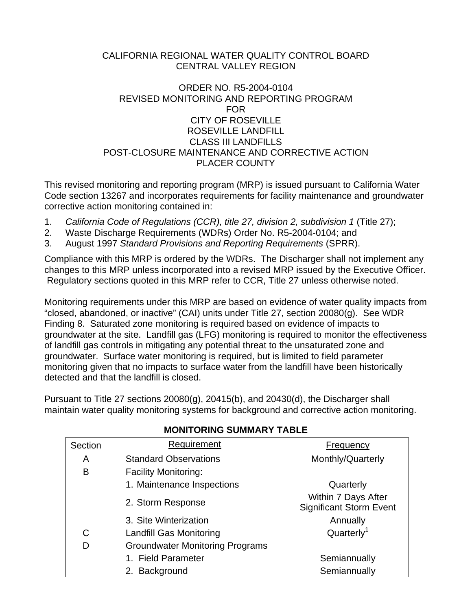#### CALIFORNIA REGIONAL WATER QUALITY CONTROL BOARD CENTRAL VALLEY REGION

#### ORDER NO. R5-2004-0104 REVISED MONITORING AND REPORTING PROGRAM FOR CITY OF ROSEVILLE ROSEVILLE LANDFILL CLASS III LANDFILLS POST-CLOSURE MAINTENANCE AND CORRECTIVE ACTION PLACER COUNTY

This revised monitoring and reporting program (MRP) is issued pursuant to California Water Code section 13267 and incorporates requirements for facility maintenance and groundwater corrective action monitoring contained in:

- 1. *California Code of Regulations (CCR), title 27, division 2, subdivision 1* (Title 27);
- 2. Waste Discharge Requirements (WDRs) Order No. R5-2004-0104; and
- 3. August 1997 *Standard Provisions and Reporting Requirements* (SPRR).

Compliance with this MRP is ordered by the WDRs. The Discharger shall not implement any changes to this MRP unless incorporated into a revised MRP issued by the Executive Officer. Regulatory sections quoted in this MRP refer to CCR, Title 27 unless otherwise noted.

Monitoring requirements under this MRP are based on evidence of water quality impacts from "closed, abandoned, or inactive" (CAI) units under Title 27, section 20080(g). See WDR Finding 8. Saturated zone monitoring is required based on evidence of impacts to groundwater at the site. Landfill gas (LFG) monitoring is required to monitor the effectiveness of landfill gas controls in mitigating any potential threat to the unsaturated zone and groundwater. Surface water monitoring is required, but is limited to field parameter monitoring given that no impacts to surface water from the landfill have been historically detected and that the landfill is closed.

Pursuant to Title 27 sections 20080(g), 20415(b), and 20430(d), the Discharger shall maintain water quality monitoring systems for background and corrective action monitoring.

| Section | Requirement                            | Frequency                                             |
|---------|----------------------------------------|-------------------------------------------------------|
| A       | <b>Standard Observations</b>           | Monthly/Quarterly                                     |
| B       | <b>Facility Monitoring:</b>            |                                                       |
|         | 1. Maintenance Inspections             | Quarterly                                             |
|         | 2. Storm Response                      | Within 7 Days After<br><b>Significant Storm Event</b> |
|         | 3. Site Winterization                  | Annually                                              |
| C       | <b>Landfill Gas Monitoring</b>         | Quarterly <sup>1</sup>                                |
| D       | <b>Groundwater Monitoring Programs</b> |                                                       |
|         | 1. Field Parameter                     | Semiannually                                          |
|         | 2. Background                          | Semiannually                                          |
|         |                                        |                                                       |

### **MONITORING SUMMARY TABLE**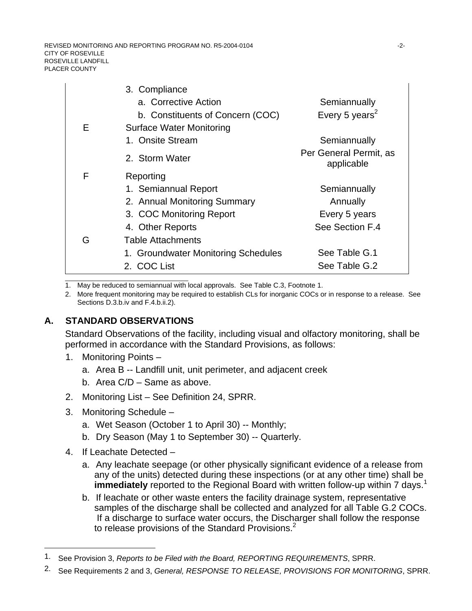REVISED MONITORING AND REPORTING PROGRAM NO. R5-2004-0104 - 2-2-CITY OF ROSEVILLE ROSEVILLE LANDFILL PLACER COUNTY

|   | 3. Compliance                       |                                      |
|---|-------------------------------------|--------------------------------------|
|   | a. Corrective Action                | Semiannually                         |
|   | b. Constituents of Concern (COC)    | Every 5 years <sup>2</sup>           |
| E | <b>Surface Water Monitoring</b>     |                                      |
|   | 1. Onsite Stream                    | Semiannually                         |
|   | 2. Storm Water                      | Per General Permit, as<br>applicable |
| F | Reporting                           |                                      |
|   | 1. Semiannual Report                | Semiannually                         |
|   | 2. Annual Monitoring Summary        | Annually                             |
|   | 3. COC Monitoring Report            | Every 5 years                        |
|   | 4. Other Reports                    | See Section F.4                      |
| G | <b>Table Attachments</b>            |                                      |
|   | 1. Groundwater Monitoring Schedules | See Table G.1                        |
|   | 2. COC List                         | See Table G.2                        |
|   |                                     |                                      |

1. May be reduced to semiannual with local approvals. See Table C.3, Footnote 1.

2. More frequent monitoring may be required to establish CLs for inorganic COCs or in response to a release. See Sections D.3.b.iv and F.4.b.ii.2).

#### **A. STANDARD OBSERVATIONS**

Standard Observations of the facility, including visual and olfactory monitoring, shall be performed in accordance with the Standard Provisions, as follows:

- 1. Monitoring Points
	- a. Area B -- Landfill unit, unit perimeter, and adjacent creek
	- b. Area C/D Same as above.
- 2. Monitoring List See Definition 24, SPRR.
- 3. Monitoring Schedule
	- a. Wet Season (October 1 to April 30) -- Monthly;
	- b. Dry Season (May 1 to September 30) -- Quarterly.
- 4. If Leachate Detected –

l

- a. Any leachate seepage (or other physically significant evidence of a release from any of the units) detected during these inspections (or at any other time) shall be **immediately** reported to the Regional Board with written follow-up within 7 days.<sup>1</sup>
- b. If leachate or other waste enters the facility drainage system, representative samples of the discharge shall be collected and analyzed for all Table G.2 COCs. If a discharge to surface water occurs, the Discharger shall follow the response to release provisions of the Standard Provisions.<sup>2</sup>

<sup>1.</sup> See Provision 3, *Reports to be Filed with the Board, REPORTING REQUIREMENTS*, SPRR.

<sup>2.</sup> See Requirements 2 and 3, *General, RESPONSE TO RELEASE, PROVISIONS FOR MONITORING*, SPRR.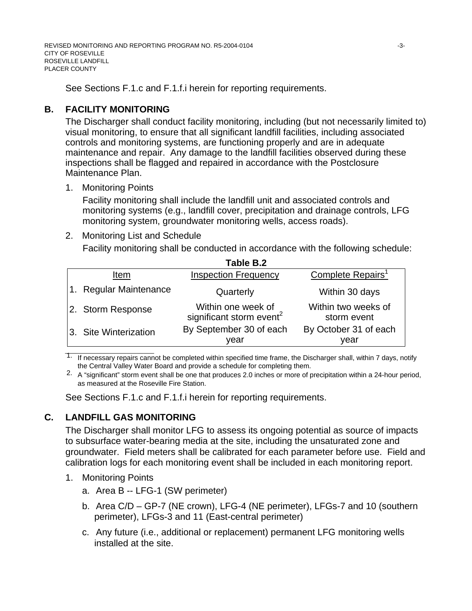See Sections F.1.c and F.1.f.i herein for reporting requirements.

## **B. FACILITY MONITORING**

The Discharger shall conduct facility monitoring, including (but not necessarily limited to) visual monitoring, to ensure that all significant landfill facilities, including associated controls and monitoring systems, are functioning properly and are in adequate maintenance and repair. Any damage to the landfill facilities observed during these inspections shall be flagged and repaired in accordance with the Postclosure Maintenance Plan.

1. Monitoring Points

Facility monitoring shall include the landfill unit and associated controls and monitoring systems (e.g., landfill cover, precipitation and drainage controls, LFG monitoring system, groundwater monitoring wells, access roads).

### 2. Monitoring List and Schedule

Facility monitoring shall be conducted in accordance with the following schedule:

| Table B.2              |                                                            |                                    |  |  |
|------------------------|------------------------------------------------------------|------------------------------------|--|--|
| Item                   | <b>Inspection Frequency</b>                                | Complete Repairs <sup>1</sup>      |  |  |
| 1. Regular Maintenance | Quarterly                                                  | Within 30 days                     |  |  |
| 2. Storm Response      | Within one week of<br>significant storm event <sup>2</sup> | Within two weeks of<br>storm event |  |  |
| 3. Site Winterization  | By September 30 of each<br>vear                            | By October 31 of each<br>year      |  |  |

 $\frac{1}{2}$  , and the set of the set of the set of the set of the set of the set of the set of the set of the set of the set of the set of the set of the set of the set of the set of the set of the set of the set of the set  $1.$  If necessary repairs cannot be completed within specified time frame, the Discharger shall, within 7 days, notify the Central Valley Water Board and provide a schedule for completing them.

2. A "significant" storm event shall be one that produces 2.0 inches or more of precipitation within a 24-hour period, as measured at the Roseville Fire Station.

See Sections F.1.c and F.1.f.i herein for reporting requirements.

## **C. LANDFILL GAS MONITORING**

The Discharger shall monitor LFG to assess its ongoing potential as source of impacts to subsurface water-bearing media at the site, including the unsaturated zone and groundwater. Field meters shall be calibrated for each parameter before use. Field and calibration logs for each monitoring event shall be included in each monitoring report.

- 1. Monitoring Points
	- a. Area B -- LFG-1 (SW perimeter)
	- b. Area C/D GP-7 (NE crown), LFG-4 (NE perimeter), LFGs-7 and 10 (southern perimeter), LFGs-3 and 11 (East-central perimeter)
	- c. Any future (i.e., additional or replacement) permanent LFG monitoring wells installed at the site.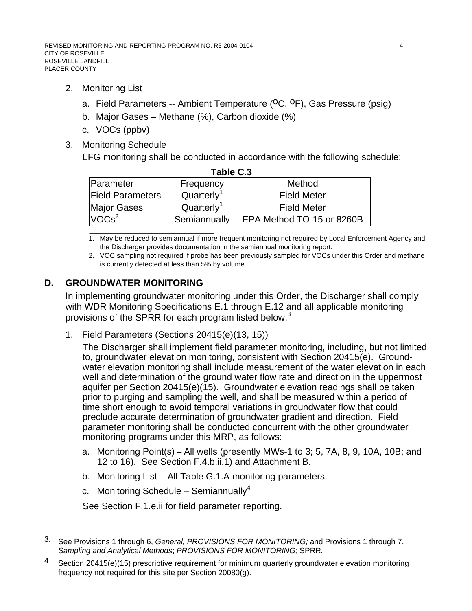- 2. Monitoring List
	- a. Field Parameters -- Ambient Temperature (<sup>O</sup>C, <sup>O</sup>F), Gas Pressure (psig)
	- b. Major Gases Methane (%), Carbon dioxide (%)
	- c. VOCs (ppbv)
- 3. Monitoring Schedule

LFG monitoring shall be conducted in accordance with the following schedule:

| Table C.3               |                        |                           |  |  |
|-------------------------|------------------------|---------------------------|--|--|
| Parameter               | <b>Frequency</b>       | Method                    |  |  |
| <b>Field Parameters</b> | Quarterly <sup>1</sup> | <b>Field Meter</b>        |  |  |
| Major Gases             | Quarterly <sup>1</sup> | <b>Field Meter</b>        |  |  |
| VOCs <sup>2</sup>       | Semiannually           | EPA Method TO-15 or 8260B |  |  |

\_\_\_\_\_\_\_\_\_\_\_\_\_\_\_\_\_\_\_\_\_\_\_\_\_\_\_\_\_\_\_\_\_\_ 1. May be reduced to semiannual if more frequent monitoring not required by Local Enforcement Agency and the Discharger provides documentation in the semiannual monitoring report.

2. VOC sampling not required if probe has been previously sampled for VOCs under this Order and methane is currently detected at less than 5% by volume.

### **D. GROUNDWATER MONITORING**

In implementing groundwater monitoring under this Order, the Discharger shall comply with WDR Monitoring Specifications E.1 through E.12 and all applicable monitoring provisions of the SPRR for each program listed below.<sup>3</sup>

1. Field Parameters (Sections 20415(e)(13, 15))

The Discharger shall implement field parameter monitoring, including, but not limited to, groundwater elevation monitoring, consistent with Section 20415(e). Groundwater elevation monitoring shall include measurement of the water elevation in each well and determination of the ground water flow rate and direction in the uppermost aquifer per Section 20415(e)(15). Groundwater elevation readings shall be taken prior to purging and sampling the well, and shall be measured within a period of time short enough to avoid temporal variations in groundwater flow that could preclude accurate determination of groundwater gradient and direction. Field parameter monitoring shall be conducted concurrent with the other groundwater monitoring programs under this MRP, as follows:

- a. Monitoring Point(s)All wells (presently MWs-1 to 3; 5, 7A, 8, 9, 10A, 10B; and 12 to 16). See Section F.4.b.ii.1) and Attachment B.
- b. Monitoring List All Table G.1.A monitoring parameters.
- c. Monitoring Schedule Semiannually<sup>4</sup>

l

See Section F.1.e.ii for field parameter reporting.

<sup>3.</sup> See Provisions 1 through 6, *General, PROVISIONS FOR MONITORING;* and Provisions 1 through 7, *Sampling and Analytical Methods*; *PROVISIONS FOR MONITORING;* SPRR*.*

<sup>4.</sup> Section 20415(e)(15) prescriptive requirement for minimum quarterly groundwater elevation monitoring frequency not required for this site per Section 20080(g).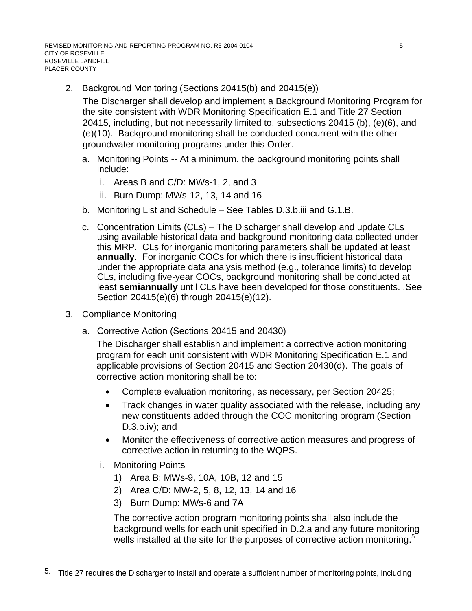2. Background Monitoring (Sections 20415(b) and 20415(e))

The Discharger shall develop and implement a Background Monitoring Program for the site consistent with WDR Monitoring Specification E.1 and Title 27 Section 20415, including, but not necessarily limited to, subsections 20415 (b), (e)(6), and (e)(10). Background monitoring shall be conducted concurrent with the other groundwater monitoring programs under this Order.

- a. Monitoring Points -- At a minimum, the background monitoring points shall include:
	- i. Areas B and C/D: MWs-1, 2, and 3
	- ii. Burn Dump: MWs-12, 13, 14 and 16
- b. Monitoring List and Schedule See Tables D.3.b.iii and G.1.B.
- c. Concentration Limits (CLs) The Discharger shall develop and update CLs using available historical data and background monitoring data collected under this MRP. CLs for inorganic monitoring parameters shall be updated at least **annually**. For inorganic COCs for which there is insufficient historical data under the appropriate data analysis method (e.g., tolerance limits) to develop CLs, including five-year COCs, background monitoring shall be conducted at least **semiannually** until CLs have been developed for those constituents. .See Section 20415(e)(6) through 20415(e)(12).
- 3. Compliance Monitoring
	- a. Corrective Action (Sections 20415 and 20430)

The Discharger shall establish and implement a corrective action monitoring program for each unit consistent with WDR Monitoring Specification E.1 and applicable provisions of Section 20415 and Section 20430(d).The goals of corrective action monitoring shall be to:

- Complete evaluation monitoring, as necessary, per Section 20425;
- Track changes in water quality associated with the release, including any new constituents added through the COC monitoring program (Section  $D.3.b.iv$ ; and
- Monitor the effectiveness of corrective action measures and progress of corrective action in returning to the WQPS.
- i. Monitoring Points

l

- 1) Area B: MWs-9, 10A, 10B, 12 and 15
- 2) Area C/D: MW-2, 5, 8, 12, 13, 14 and 16
- 3) Burn Dump: MWs-6 and 7A

The corrective action program monitoring points shall also include the background wells for each unit specified in D.2.a and any future monitoring wells installed at the site for the purposes of corrective action monitoring.<sup>5</sup>

<sup>5.</sup> Title 27 requires the Discharger to install and operate a sufficient number of monitoring points, including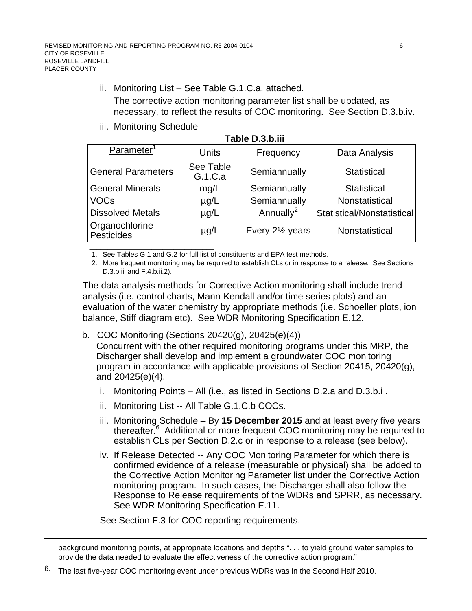- ii. Monitoring List See Table G.1.C.a, attached. The corrective action monitoring parameter list shall be updated, as necessary, to reflect the results of COC monitoring. See Section D.3.b.iv.
- iii. Monitoring Schedule

| Table D.3.b.iii              |                      |                              |                            |  |  |
|------------------------------|----------------------|------------------------------|----------------------------|--|--|
| Parameter <sup>1</sup>       | Units                | Frequency                    | Data Analysis              |  |  |
| <b>General Parameters</b>    | See Table<br>G.1.C.a | Semiannually                 | <b>Statistical</b>         |  |  |
| General Minerals             | mg/L                 | Semiannually                 | <b>Statistical</b>         |  |  |
| <b>VOCs</b>                  | $\mu$ g/L            | Semiannually                 | Nonstatistical             |  |  |
| <b>Dissolved Metals</b>      | $\mu$ g/L            | Annually <sup>2</sup>        | Statistical/Nonstatistical |  |  |
| Organochlorine<br>Pesticides | $\mu$ g/L            | Every 2 <sup>1/2</sup> years | Nonstatistical             |  |  |

\_\_\_\_\_\_\_\_\_\_\_\_\_\_\_\_\_\_\_\_\_\_\_\_\_\_\_\_\_\_\_\_\_\_ 1. See Tables G.1 and G.2 for full list of constituents and EPA test methods.

2. More frequent monitoring may be required to establish CLs or in response to a release. See Sections D.3.b.iii and F.4.b.ii.2).

The data analysis methods for Corrective Action monitoring shall include trend analysis (i.e. control charts, Mann-Kendall and/or time series plots) and an evaluation of the water chemistry by appropriate methods (i.e. Schoeller plots, ion balance, Stiff diagram etc). See WDR Monitoring Specification E.12.

b. COC Monitoring (Sections 20420(g), 20425(e)(4))

Concurrent with the other required monitoring programs under this MRP, the Discharger shall develop and implement a groundwater COC monitoring program in accordance with applicable provisions of Section 20415, 20420(g), and 20425(e)(4).

- i. Monitoring Points All (i.e., as listed in Sections D.2.a and D.3.b.i .
- ii. Monitoring List -- All Table G.1.C.b COCs.
- iii. Monitoring Schedule By **15 December 2015** and at least every five years thereafter.<sup>6</sup> Additional or more frequent COC monitoring may be required to establish CLs per Section D.2.c or in response to a release (see below).
- iv. If Release Detected -- Any COC Monitoring Parameter for which there is confirmed evidence of a release (measurable or physical) shall be added to the Corrective Action Monitoring Parameter list under the Corrective Action monitoring program. In such cases, the Discharger shall also follow the Response to Release requirements of the WDRs and SPRR, as necessary. See WDR Monitoring Specification E.11.

See Section F.3 for COC reporting requirements.

 $\overline{a}$ 

background monitoring points, at appropriate locations and depths ". . . to yield ground water samples to provide the data needed to evaluate the effectiveness of the corrective action program."

6. The last five-year COC monitoring event under previous WDRs was in the Second Half 2010.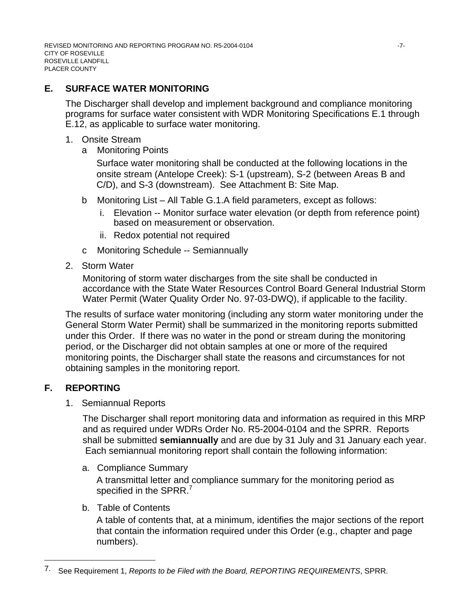## **E. SURFACE WATER MONITORING**

The Discharger shall develop and implement background and compliance monitoring programs for surface water consistent with WDR Monitoring Specifications E.1 through E.12, as applicable to surface water monitoring.

- 1. Onsite Stream
	- a Monitoring Points

Surface water monitoring shall be conducted at the following locations in the onsite stream (Antelope Creek): S-1 (upstream), S-2 (between Areas B and C/D), and S-3 (downstream). See Attachment B: Site Map.

- b Monitoring List All Table G.1.A field parameters, except as follows:
	- i. Elevation -- Monitor surface water elevation (or depth from reference point) based on measurement or observation.
	- ii. Redox potential not required
- c Monitoring Schedule -- Semiannually
- 2. Storm Water

Monitoring of storm water discharges from the site shall be conducted in accordance with the State Water Resources Control Board General Industrial Storm Water Permit (Water Quality Order No. 97-03-DWQ), if applicable to the facility.

The results of surface water monitoring (including any storm water monitoring under the General Storm Water Permit) shall be summarized in the monitoring reports submitted under this Order. If there was no water in the pond or stream during the monitoring period, or the Discharger did not obtain samples at one or more of the required monitoring points, the Discharger shall state the reasons and circumstances for not obtaining samples in the monitoring report.

## **F. REPORTING**

l

1. Semiannual Reports

The Discharger shall report monitoring data and information as required in this MRP and as required under WDRs Order No. R5-2004-0104 and the SPRR. Reports shall be submitted **semiannually** and are due by 31 July and 31 January each year. Each semiannual monitoring report shall contain the following information:

a. Compliance Summary

A transmittal letter and compliance summary for the monitoring period as specified in the SPRR.<sup>7</sup>

#### b. Table of Contents

A table of contents that, at a minimum, identifies the major sections of the report that contain the information required under this Order (e.g., chapter and page numbers).

<sup>7.</sup> See Requirement 1, *Reports to be Filed with the Board, REPORTING REQUIREMENTS*, SPRR.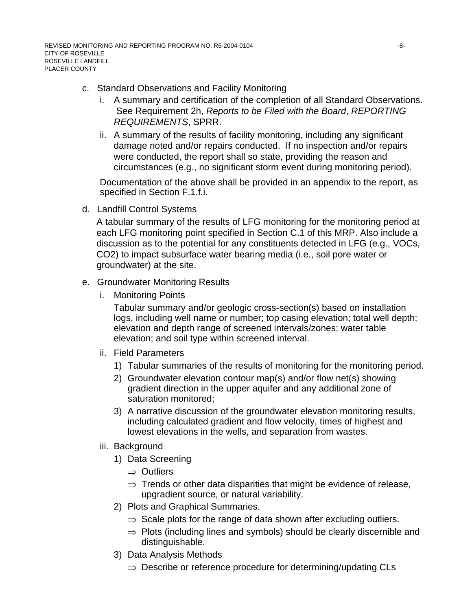#### c. Standard Observations and Facility Monitoring

- i. A summary and certification of the completion of all Standard Observations. See Requirement 2h, *Reports to be Filed with the Board*, *REPORTING REQUIREMENTS*, SPRR.
- ii. A summary of the results of facility monitoring, including any significant damage noted and/or repairs conducted. If no inspection and/or repairs were conducted, the report shall so state, providing the reason and circumstances (e.g., no significant storm event during monitoring period).

Documentation of the above shall be provided in an appendix to the report, as specified in Section F.1.f.i.

d. Landfill Control Systems

A tabular summary of the results of LFG monitoring for the monitoring period at each LFG monitoring point specified in Section C.1 of this MRP. Also include a discussion as to the potential for any constituents detected in LFG (e.g., VOCs, CO2) to impact subsurface water bearing media (i.e., soil pore water or groundwater) at the site.

- e. Groundwater Monitoring Results
	- i. Monitoring Points

Tabular summary and/or geologic cross-section(s) based on installation logs, including well name or number; top casing elevation; total well depth; elevation and depth range of screened intervals/zones; water table elevation; and soil type within screened interval.

- ii. Field Parameters
	- 1) Tabular summaries of the results of monitoring for the monitoring period.
	- 2) Groundwater elevation contour map(s) and/or flow net(s) showing gradient direction in the upper aquifer and any additional zone of saturation monitored;
	- 3) A narrative discussion of the groundwater elevation monitoring results, including calculated gradient and flow velocity, times of highest and lowest elevations in the wells, and separation from wastes.
- iii. Background
	- 1) Data Screening
		- ⇒ Outliers
		- $\Rightarrow$  Trends or other data disparities that might be evidence of release, upgradient source, or natural variability.
	- 2) Plots and Graphical Summaries.
		- $\Rightarrow$  Scale plots for the range of data shown after excluding outliers.
		- $\Rightarrow$  Plots (including lines and symbols) should be clearly discernible and distinguishable.
	- 3) Data Analysis Methods
		- $\Rightarrow$  Describe or reference procedure for determining/updating CLs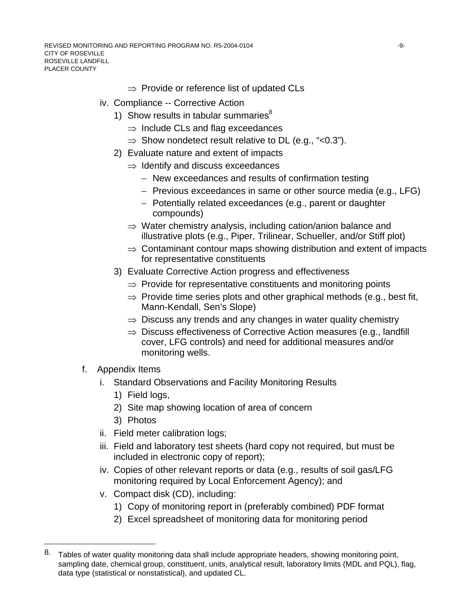REVISED MONITORING AND REPORTING PROGRAM NO. R5-2004-0104  $-9-$ CITY OF ROSEVILLE ROSEVILLE LANDFILL PLACER COUNTY

- $\Rightarrow$  Provide or reference list of updated CLs
- iv. Compliance -- Corrective Action
	- 1) Show results in tabular summaries $8$ 
		- $\Rightarrow$  Include CLs and flag exceedances
		- $\Rightarrow$  Show nondetect result relative to DL (e.g., "<0.3").
	- 2) Evaluate nature and extent of impacts
		- $\Rightarrow$  Identify and discuss exceedances
			- − New exceedances and results of confirmation testing
			- − Previous exceedances in same or other source media (e.g., LFG)
			- − Potentially related exceedances (e.g., parent or daughter compounds)
		- $\Rightarrow$  Water chemistry analysis, including cation/anion balance and illustrative plots (e.g., Piper, Trilinear, Schueller, and/or Stiff plot)
		- $\Rightarrow$  Contaminant contour maps showing distribution and extent of impacts for representative constituents
	- 3) Evaluate Corrective Action progress and effectiveness
		- $\Rightarrow$  Provide for representative constituents and monitoring points
		- $\Rightarrow$  Provide time series plots and other graphical methods (e.g., best fit, Mann-Kendall, Sen's Slope)
		- $\Rightarrow$  Discuss any trends and any changes in water quality chemistry
		- ⇒ Discuss effectiveness of Corrective Action measures (e.g., landfill cover, LFG controls) and need for additional measures and/or monitoring wells.
- f. Appendix Items

l

- i. Standard Observations and Facility Monitoring Results
	- 1) Field logs,
	- 2) Site map showing location of area of concern
	- 3) Photos
- ii. Field meter calibration logs;
- iii. Field and laboratory test sheets (hard copy not required, but must be included in electronic copy of report);
- iv. Copies of other relevant reports or data (e.g., results of soil gas/LFG monitoring required by Local Enforcement Agency); and
- v. Compact disk (CD), including:
	- 1) Copy of monitoring report in (preferably combined) PDF format
	- 2) Excel spreadsheet of monitoring data for monitoring period

<sup>8.</sup> Tables of water quality monitoring data shall include appropriate headers, showing monitoring point, sampling date, chemical group, constituent, units, analytical result, laboratory limits (MDL and PQL), flag, data type (statistical or nonstatistical), and updated CL.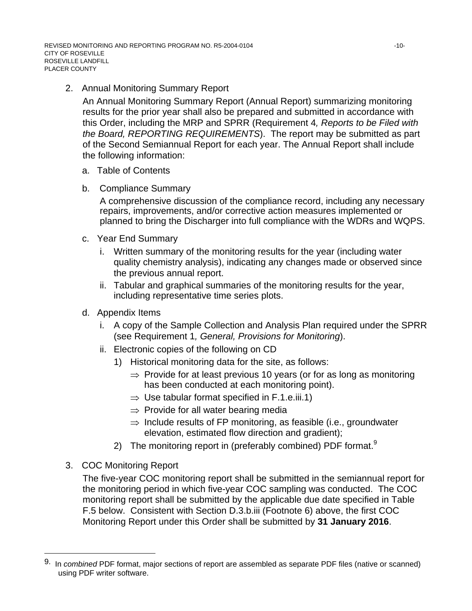2. Annual Monitoring Summary Report

An Annual Monitoring Summary Report (Annual Report) summarizing monitoring results for the prior year shall also be prepared and submitted in accordance with this Order, including the MRP and SPRR (Requirement 4*, Reports to be Filed with the Board, REPORTING REQUIREMENTS*). The report may be submitted as part of the Second Semiannual Report for each year. The Annual Report shall include the following information:

- a. Table of Contents
- b. Compliance Summary

A comprehensive discussion of the compliance record, including any necessary repairs, improvements, and/or corrective action measures implemented or planned to bring the Discharger into full compliance with the WDRs and WQPS.

- c. Year End Summary
	- i. Written summary of the monitoring results for the year (including water quality chemistry analysis), indicating any changes made or observed since the previous annual report.
	- ii. Tabular and graphical summaries of the monitoring results for the year, including representative time series plots.
- d. Appendix Items
	- i. A copy of the Sample Collection and Analysis Plan required under the SPRR (see Requirement 1*, General, Provisions for Monitoring*).
	- ii. Electronic copies of the following on CD
		- 1) Historical monitoring data for the site, as follows:
			- $\Rightarrow$  Provide for at least previous 10 years (or for as long as monitoring has been conducted at each monitoring point).
			- $\Rightarrow$  Use tabular format specified in F.1.e.iii.1)
			- $\Rightarrow$  Provide for all water bearing media
			- $\Rightarrow$  Include results of FP monitoring, as feasible (i.e., groundwater elevation, estimated flow direction and gradient);
		- 2) The monitoring report in (preferably combined) PDF format.<sup>9</sup>
- 3. COC Monitoring Report

l

The five-year COC monitoring report shall be submitted in the semiannual report for the monitoring period in which five-year COC sampling was conducted. The COC monitoring report shall be submitted by the applicable due date specified in Table F.5 below. Consistent with Section D.3.b.iii (Footnote 6) above, the first COC Monitoring Report under this Order shall be submitted by **31 January 2016**.

<sup>9.</sup> In *combined* PDF format, major sections of report are assembled as separate PDF files (native or scanned) using PDF writer software.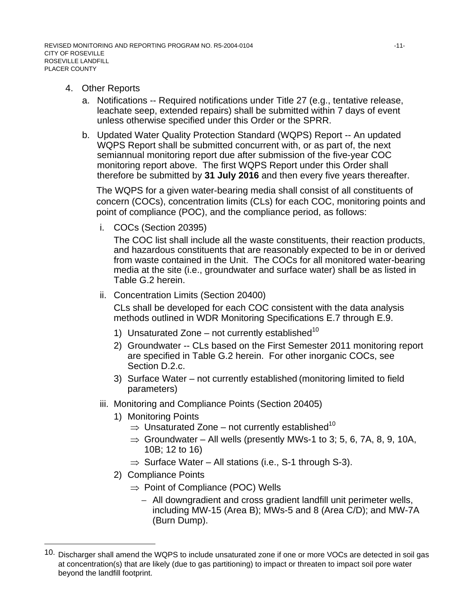- 4. Other Reports
	- a. Notifications -- Required notifications under Title 27 (e.g., tentative release, leachate seep, extended repairs) shall be submitted within 7 days of event unless otherwise specified under this Order or the SPRR.
	- b. Updated Water Quality Protection Standard (WQPS) Report -- An updated WQPS Report shall be submitted concurrent with, or as part of, the next semiannual monitoring report due after submission of the five-year COC monitoring report above. The first WQPS Report under this Order shall therefore be submitted by **31 July 2016** and then every five years thereafter.

The WQPS for a given water-bearing media shall consist of all constituents of concern (COCs), concentration limits (CLs) for each COC, monitoring points and point of compliance (POC), and the compliance period, as follows:

i. COCs (Section 20395)

The COC list shall include all the waste constituents, their reaction products, and hazardous constituents that are reasonably expected to be in or derived from waste contained in the Unit. The COCs for all monitored water-bearing media at the site (i.e., groundwater and surface water) shall be as listed in Table G.2 herein.

ii. Concentration Limits (Section 20400)

CLs shall be developed for each COC consistent with the data analysis methods outlined in WDR Monitoring Specifications E.7 through E.9.

- 1) Unsaturated Zone not currently established<sup>10</sup>
- 2) Groundwater -- CLs based on the First Semester 2011 monitoring report are specified in Table G.2 herein. For other inorganic COCs, see Section D.2.c.
- 3) Surface Water not currently established (monitoring limited to field parameters)
- iii. Monitoring and Compliance Points (Section 20405)
	- 1) Monitoring Points
		- $\Rightarrow$  Unsaturated Zone not currently established<sup>10</sup>
		- $\Rightarrow$  Groundwater All wells (presently MWs-1 to 3; 5, 6, 7A, 8, 9, 10A, 10B; 12 to 16)
		- $\Rightarrow$  Surface Water All stations (i.e., S-1 through S-3).
	- 2) Compliance Points

l

- $\Rightarrow$  Point of Compliance (POC) Wells
	- − All downgradient and cross gradient landfill unit perimeter wells, including MW-15 (Area B); MWs-5 and 8 (Area C/D); and MW-7A (Burn Dump).

<sup>10.</sup> Discharger shall amend the WQPS to include unsaturated zone if one or more VOCs are detected in soil gas at concentration(s) that are likely (due to gas partitioning) to impact or threaten to impact soil pore water beyond the landfill footprint.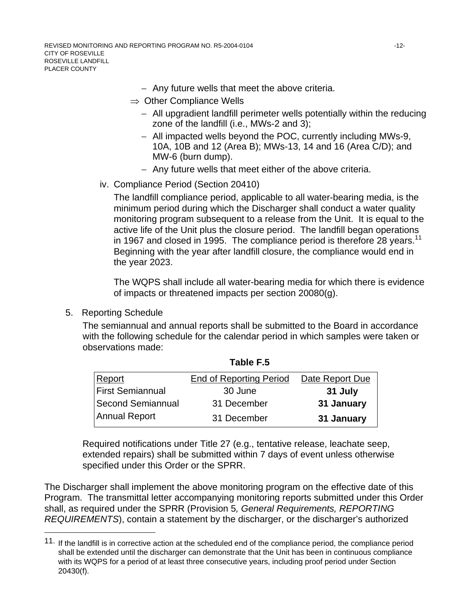- − Any future wells that meet the above criteria.
- $\Rightarrow$  Other Compliance Wells
	- − All upgradient landfill perimeter wells potentially within the reducing zone of the landfill (i.e., MWs-2 and 3);
	- − All impacted wells beyond the POC, currently including MWs-9, 10A, 10B and 12 (Area B); MWs-13, 14 and 16 (Area C/D); and MW-6 (burn dump).
	- − Any future wells that meet either of the above criteria.
- iv. Compliance Period (Section 20410)

The landfill compliance period, applicable to all water-bearing media, is the minimum period during which the Discharger shall conduct a water quality monitoring program subsequent to a release from the Unit. It is equal to the active life of the Unit plus the closure period. The landfill began operations in 1967 and closed in 1995. The compliance period is therefore 28 years.<sup>11</sup> Beginning with the year after landfill closure, the compliance would end in the year 2023.

The WQPS shall include all water-bearing media for which there is evidence of impacts or threatened impacts per section 20080(g).

5. Reporting Schedule

l

The semiannual and annual reports shall be submitted to the Board in accordance with the following schedule for the calendar period in which samples were taken or observations made:

| Report                  | <b>End of Reporting Period</b> | Date Report Due |
|-------------------------|--------------------------------|-----------------|
| <b>First Semiannual</b> | 30 June                        | 31 July         |
| Second Semiannual       | 31 December                    | 31 January      |
| Annual Report           | 31 December                    | 31 January      |

**Table F.5** 

Required notifications under Title 27 (e.g., tentative release, leachate seep, extended repairs) shall be submitted within 7 days of event unless otherwise specified under this Order or the SPRR.

The Discharger shall implement the above monitoring program on the effective date of this Program. The transmittal letter accompanying monitoring reports submitted under this Order shall, as required under the SPRR (Provision 5*, General Requirements, REPORTING REQUIREMENTS*), contain a statement by the discharger, or the discharger's authorized

<sup>11.</sup> If the landfill is in corrective action at the scheduled end of the compliance period, the compliance period shall be extended until the discharger can demonstrate that the Unit has been in continuous compliance with its WQPS for a period of at least three consecutive years, including proof period under Section 20430(f).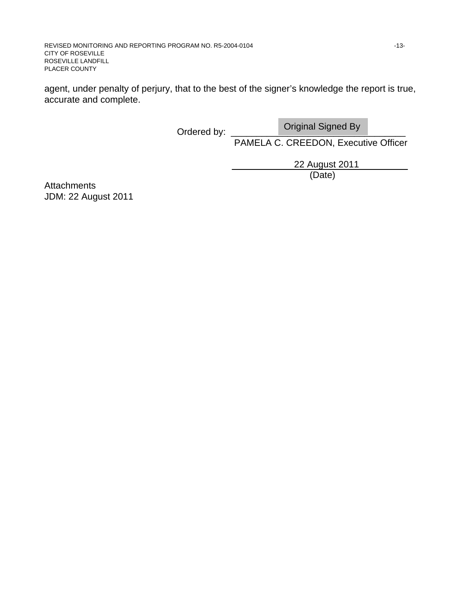agent, under penalty of perjury, that to the best of the signer's knowledge the report is true, accurate and complete.

Ordered by:

Original Signed By

PAMELA C. CREEDON, Executive Officer

22 August 2011

(Date)

**Attachments** JDM: 22 August 2011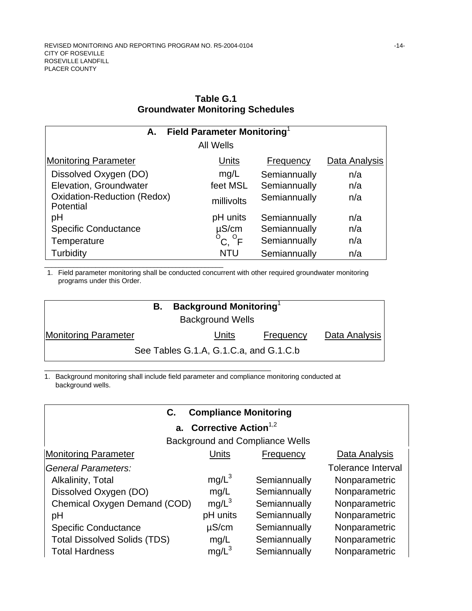\_\_\_\_\_\_\_\_\_\_\_\_\_\_\_\_\_\_\_\_\_\_\_\_\_\_\_\_\_\_\_\_\_\_\_\_\_\_\_\_\_\_\_\_\_\_\_\_\_

| <b>Field Parameter Monitoring</b><br>А.         |                            |              |               |  |
|-------------------------------------------------|----------------------------|--------------|---------------|--|
|                                                 | <b>All Wells</b>           |              |               |  |
| <b>Monitoring Parameter</b>                     | Units                      | Frequency    | Data Analysis |  |
| Dissolved Oxygen (DO)                           | mg/L                       | Semiannually | n/a           |  |
| Elevation, Groundwater                          | feet MSL                   | Semiannually | n/a           |  |
| <b>Oxidation-Reduction (Redox)</b><br>Potential | millivolts                 | Semiannually | n/a           |  |
| рH                                              | pH units                   | Semiannually | n/a           |  |
| <b>Specific Conductance</b>                     | $\mu$ S/cm                 | Semiannually | n/a           |  |
| Temperature                                     | $^{\circ}$ C, $^{\circ}$ F | Semiannually | n/a           |  |
| Turbidity                                       | NTU                        | Semiannually | n/a           |  |

### **Table G.1 Groundwater Monitoring Schedules**

1. Field parameter monitoring shall be conducted concurrent with other required groundwater monitoring programs under this Order.

| В.                          | <b>Background Monitoring</b>           |                  |               |
|-----------------------------|----------------------------------------|------------------|---------------|
| <b>Background Wells</b>     |                                        |                  |               |
| <b>Monitoring Parameter</b> | Units                                  | <b>Frequency</b> | Data Analysis |
|                             | See Tables G.1.A, G.1.C.a, and G.1.C.b |                  |               |
|                             |                                        |                  |               |

1. Background monitoring shall include field parameter and compliance monitoring conducted at background wells.

## **C. Compliance Monitoring**

# **a.** Corrective Action<sup>1,2</sup>

Background and Compliance Wells

| <b>Monitoring Parameter</b>         | Units      | Frequency    | Data Analysis             |
|-------------------------------------|------------|--------------|---------------------------|
| General Parameters:                 |            |              | <b>Tolerance Interval</b> |
| Alkalinity, Total                   | $mg/L^3$   | Semiannually | Nonparametric             |
| Dissolved Oxygen (DO)               | mg/L       | Semiannually | Nonparametric             |
| Chemical Oxygen Demand (COD)        | $mg/L^3$   | Semiannually | Nonparametric             |
| pH                                  | pH units   | Semiannually | Nonparametric             |
| <b>Specific Conductance</b>         | $\mu$ S/cm | Semiannually | Nonparametric             |
| <b>Total Dissolved Solids (TDS)</b> | mg/L       | Semiannually | Nonparametric             |
| <b>Total Hardness</b>               | $mg/L^3$   | Semiannually | Nonparametric             |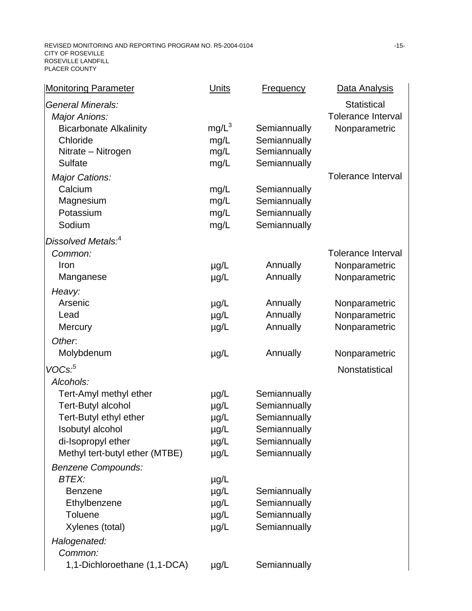| <b>Monitoring Parameter</b>    | <b>Units</b> | <b>Frequency</b> | Data Analysis             |
|--------------------------------|--------------|------------------|---------------------------|
| <b>General Minerals:</b>       |              |                  | <b>Statistical</b>        |
| <b>Major Anions:</b>           |              |                  | <b>Tolerance Interval</b> |
| <b>Bicarbonate Alkalinity</b>  | $mg/L^3$     | Semiannually     | Nonparametric             |
| Chloride                       | mg/L         | Semiannually     |                           |
| Nitrate - Nitrogen             | mg/L         | Semiannually     |                           |
| <b>Sulfate</b>                 | mg/L         | Semiannually     |                           |
| Major Cations:                 |              |                  | <b>Tolerance Interval</b> |
| Calcium                        | mg/L         | Semiannually     |                           |
| Magnesium                      | mg/L         | Semiannually     |                           |
| Potassium                      | mg/L         | Semiannually     |                           |
| Sodium                         | mg/L         | Semiannually     |                           |
| Dissolved Metals. <sup>4</sup> |              |                  |                           |
| Common:                        |              |                  | <b>Tolerance Interval</b> |
| Iron                           | $\mu$ g/L    | Annually         | Nonparametric             |
| Manganese                      | $\mu$ g/L    | Annually         | Nonparametric             |
| Heavy:                         |              |                  |                           |
| Arsenic                        | $\mu$ g/L    | Annually         | Nonparametric             |
| Lead                           | $\mu$ g/L    | Annually         | Nonparametric             |
| Mercury                        | $\mu$ g/L    | Annually         | Nonparametric             |
| Other.                         |              |                  |                           |
| Molybdenum                     | $\mu$ g/L    | Annually         | Nonparametric             |
| VOCs. <sup>5</sup>             |              |                  | Nonstatistical            |
| Alcohols:                      |              |                  |                           |
| Tert-Amyl methyl ether         | $\mu$ g/L    | Semiannually     |                           |
| <b>Tert-Butyl alcohol</b>      | µg/L         | Semiannually     |                           |
| Tert-Butyl ethyl ether         | $\mu$ g/L    | Semiannually     |                           |
| Isobutyl alcohol               | $\mu$ g/L    | Semiannually     |                           |
| di-Isopropyl ether             | $\mu$ g/L    | Semiannually     |                           |
| Methyl tert-butyl ether (MTBE) | $\mu$ g/L    | Semiannually     |                           |
| <b>Benzene Compounds:</b>      |              |                  |                           |
| <b>BTEX:</b>                   | $\mu$ g/L    |                  |                           |
| <b>Benzene</b>                 | µg/L         | Semiannually     |                           |
| Ethylbenzene                   | $\mu$ g/L    | Semiannually     |                           |
| <b>Toluene</b>                 | $\mu$ g/L    | Semiannually     |                           |
| Xylenes (total)                | $\mu$ g/L    | Semiannually     |                           |
| Halogenated:                   |              |                  |                           |
| Common:                        |              |                  |                           |
| 1,1-Dichloroethane (1,1-DCA)   | $\mu$ g/L    | Semiannually     |                           |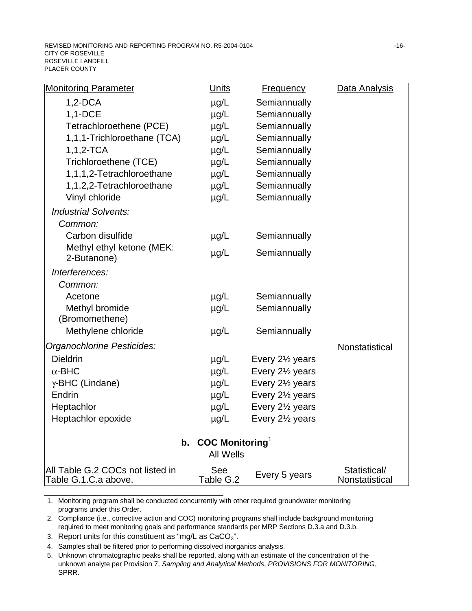| <b>Monitoring Parameter</b>                              | <b>Units</b>                   | <b>Frequency</b>             | Data Analysis                  |
|----------------------------------------------------------|--------------------------------|------------------------------|--------------------------------|
| $1,2$ -DCA                                               | $\mu$ g/L                      | Semiannually                 |                                |
| 1,1-DCE                                                  | $\mu$ g/L                      | Semiannually                 |                                |
| Tetrachloroethene (PCE)                                  | $\mu$ g/L                      | Semiannually                 |                                |
| 1,1,1-Trichloroethane (TCA)                              | $\mu$ g/L                      | Semiannually                 |                                |
| $1, 1, 2$ -TCA                                           | $\mu$ g/L                      | Semiannually                 |                                |
| Trichloroethene (TCE)                                    | $\mu$ g/L                      | Semiannually                 |                                |
| 1,1,1,2-Tetrachloroethane                                | $\mu$ g/L                      | Semiannually                 |                                |
| 1,1.2,2-Tetrachloroethane                                | $\mu$ g/L                      | Semiannually                 |                                |
| Vinyl chloride                                           | $\mu$ g/L                      | Semiannually                 |                                |
| <b>Industrial Solvents:</b>                              |                                |                              |                                |
| Common:                                                  |                                |                              |                                |
| Carbon disulfide                                         | $\mu$ g/L                      | Semiannually                 |                                |
| Methyl ethyl ketone (MEK:<br>2-Butanone)                 | $\mu$ g/L                      | Semiannually                 |                                |
| Interferences:                                           |                                |                              |                                |
| Common:                                                  |                                |                              |                                |
| Acetone                                                  | $\mu$ g/L                      | Semiannually                 |                                |
| Methyl bromide                                           | $\mu$ g/L                      | Semiannually                 |                                |
| (Bromomethene)                                           |                                |                              |                                |
| Methylene chloride                                       | $\mu$ g/L                      | Semiannually                 |                                |
| Organochlorine Pesticides:                               |                                |                              | Nonstatistical                 |
| <b>Dieldrin</b>                                          | $\mu$ g/L                      | Every 2 <sup>1/2</sup> years |                                |
| $\alpha$ -BHC                                            | $\mu$ g/L                      | Every 21/ <sub>2</sub> years |                                |
| $\gamma$ -BHC (Lindane)                                  | µg/L                           | Every 21/ <sub>2</sub> years |                                |
| Endrin                                                   | $\mu$ g/L                      | Every 2 <sup>1/2</sup> years |                                |
| Heptachlor                                               | $\mu$ g/L                      | Every 2 <sup>1/2</sup> years |                                |
| Heptachlor epoxide                                       | $\mu$ g/L                      | Every 2 <sup>1/2</sup> years |                                |
|                                                          | b. COC Monitoring <sup>1</sup> |                              |                                |
|                                                          | <b>All Wells</b>               |                              |                                |
| All Table G.2 COCs not listed in<br>Table G.1.C.a above. | See<br>Table G.2               | Every 5 years                | Statistical/<br>Nonstatistical |

1. Monitoring program shall be conducted concurrently with other required groundwater monitoring programs under this Order.

2. Compliance (i.e., corrective action and COC) monitoring programs shall include background monitoring required to meet monitoring goals and performance standards per MRP Sections D.3.a and D.3.b.

3. Report units for this constituent as "mg/L as  $CaCO<sub>3</sub>$ ".

\_\_\_\_\_\_\_\_\_\_\_\_\_\_\_\_\_\_\_\_\_\_\_\_\_\_\_\_\_\_\_\_\_\_\_\_\_\_\_\_\_\_\_\_\_\_\_\_\_

4. Samples shall be filtered prior to performing dissolved inorganics analysis.

5. Unknown chromatographic peaks shall be reported, along with an estimate of the concentration of the unknown analyte per Provision 7, *Sampling and Analytical Methods*, *PROVISIONS FOR MONITORING*, SPRR.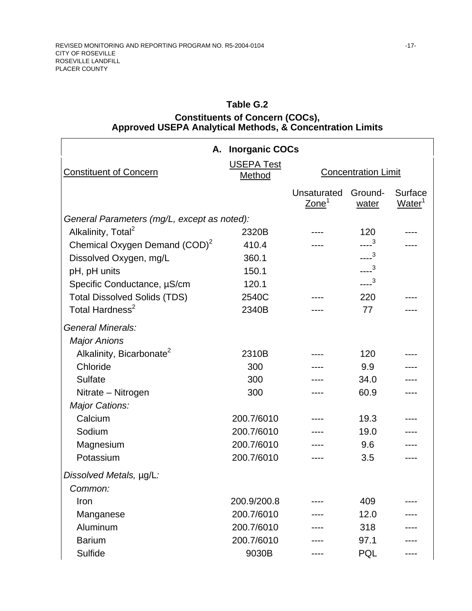### **Table G.2**

### **Constituents of Concern (COCs), Approved USEPA Analytical Methods, & Concentration Limits**

|                                             | A. Inorganic COCs           |                                  |                            |                                      |
|---------------------------------------------|-----------------------------|----------------------------------|----------------------------|--------------------------------------|
| <b>Constituent of Concern</b>               | <b>USEPA Test</b><br>Method |                                  | <b>Concentration Limit</b> |                                      |
|                                             |                             | Unsaturated<br>Zone <sup>1</sup> | Ground-<br>water           | <b>Surface</b><br>Water <sup>1</sup> |
| General Parameters (mg/L, except as noted): |                             |                                  |                            |                                      |
| Alkalinity, Total <sup>2</sup>              | 2320B                       |                                  | 120                        |                                      |
| Chemical Oxygen Demand (COD) <sup>2</sup>   | 410.4                       |                                  | $---3$                     |                                      |
| Dissolved Oxygen, mg/L                      | 360.1                       |                                  | $--3$                      |                                      |
| pH, pH units                                | 150.1                       |                                  | $---3$                     |                                      |
| Specific Conductance, µS/cm                 | 120.1                       |                                  | $---3$                     |                                      |
| <b>Total Dissolved Solids (TDS)</b>         | 2540C                       |                                  | 220                        |                                      |
| Total Hardness <sup>2</sup>                 | 2340B                       |                                  | 77                         |                                      |
| <b>General Minerals:</b>                    |                             |                                  |                            |                                      |
| <b>Major Anions</b>                         |                             |                                  |                            |                                      |
| Alkalinity, Bicarbonate <sup>2</sup>        | 2310B                       |                                  | 120                        |                                      |
| Chloride                                    | 300                         |                                  | 9.9                        |                                      |
| Sulfate                                     | 300                         |                                  | 34.0                       |                                      |
| Nitrate - Nitrogen                          | 300                         |                                  | 60.9                       |                                      |
| Major Cations:                              |                             |                                  |                            |                                      |
| Calcium                                     | 200.7/6010                  |                                  | 19.3                       |                                      |
| Sodium                                      | 200.7/6010                  |                                  | 19.0                       |                                      |
| Magnesium                                   | 200.7/6010                  |                                  | 9.6                        |                                      |
| Potassium                                   | 200.7/6010                  |                                  | 3.5                        |                                      |
| Dissolved Metals, µg/L:                     |                             |                                  |                            |                                      |
| Common:                                     |                             |                                  |                            |                                      |
| Iron                                        | 200.9/200.8                 |                                  | 409                        |                                      |
| Manganese                                   | 200.7/6010                  |                                  | 12.0                       |                                      |
| Aluminum                                    | 200.7/6010                  |                                  | 318                        |                                      |
| <b>Barium</b>                               | 200.7/6010                  |                                  | 97.1                       |                                      |
| Sulfide                                     | 9030B                       |                                  | PQL                        |                                      |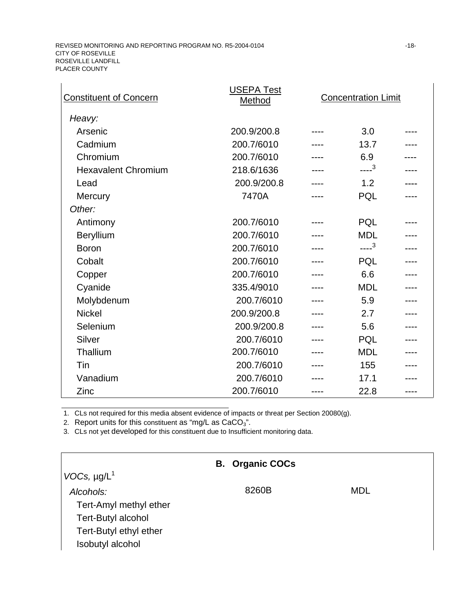| <b>Constituent of Concern</b> | <b>USEPA Test</b><br>Method | <b>Concentration Limit</b> |  |
|-------------------------------|-----------------------------|----------------------------|--|
| Heavy:                        |                             |                            |  |
| Arsenic                       | 200.9/200.8                 | 3.0                        |  |
| Cadmium                       | 200.7/6010                  | 13.7                       |  |
| Chromium                      | 200.7/6010                  | 6.9                        |  |
| <b>Hexavalent Chromium</b>    | 218.6/1636                  | $---3$                     |  |
| Lead                          | 200.9/200.8                 | 1.2                        |  |
| Mercury                       | 7470A                       | PQL                        |  |
| Other:                        |                             |                            |  |
| Antimony                      | 200.7/6010                  | PQL                        |  |
| <b>Beryllium</b>              | 200.7/6010                  | <b>MDL</b>                 |  |
| <b>Boron</b>                  | 200.7/6010                  | $---3$                     |  |
| Cobalt                        | 200.7/6010                  | PQL                        |  |
| Copper                        | 200.7/6010                  | 6.6                        |  |
| Cyanide                       | 335.4/9010                  | <b>MDL</b>                 |  |
| Molybdenum                    | 200.7/6010                  | 5.9                        |  |
| <b>Nickel</b>                 | 200.9/200.8                 | 2.7                        |  |
| Selenium                      | 200.9/200.8                 | 5.6                        |  |
| Silver                        | 200.7/6010                  | PQL                        |  |
| Thallium                      | 200.7/6010                  | <b>MDL</b>                 |  |
| Tin                           | 200.7/6010                  | 155                        |  |
| Vanadium                      | 200.7/6010                  | 17.1                       |  |
| Zinc                          | 200.7/6010                  | 22.8                       |  |

1. CLs not required for this media absent evidence of impacts or threat per Section 20080(g).

2. Report units for this constituent as "mg/L as  $CaCO<sub>3</sub>$ ".

3. CLs not yet developed for this constituent due to Insufficient monitoring data.

|                        | <b>B. Organic COCs</b> |     |
|------------------------|------------------------|-----|
| $VOCs, \mu g/L^1$      |                        |     |
| Alcohols:              | 8260B                  | MDL |
| Tert-Amyl methyl ether |                        |     |
| Tert-Butyl alcohol     |                        |     |
| Tert-Butyl ethyl ether |                        |     |
| Isobutyl alcohol       |                        |     |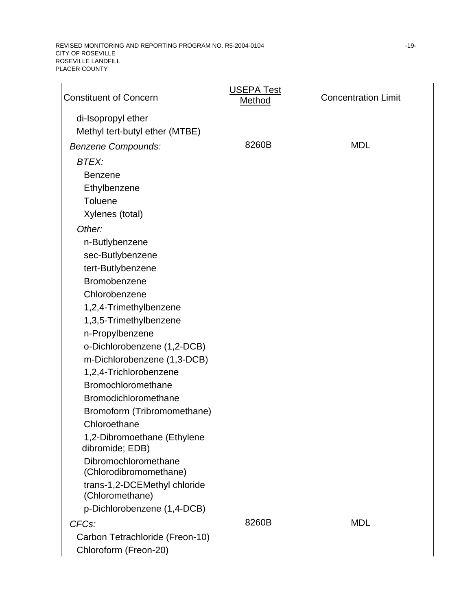REVISED MONITORING AND REPORTING PROGRAM NO. R5-2004-0104  $-19$ -CITY OF ROSEVILLE ROSEVILLE LANDFILL PLACER COUNTY

| <b>Constituent of Concern</b>                   | <b>USEPA Test</b><br>Method | <b>Concentration Limit</b> |
|-------------------------------------------------|-----------------------------|----------------------------|
| di-Isopropyl ether                              |                             |                            |
| Methyl tert-butyl ether (MTBE)                  |                             |                            |
| <b>Benzene Compounds:</b>                       | 8260B                       | <b>MDL</b>                 |
| <b>BTEX:</b>                                    |                             |                            |
| <b>Benzene</b>                                  |                             |                            |
| Ethylbenzene                                    |                             |                            |
| Toluene                                         |                             |                            |
| Xylenes (total)                                 |                             |                            |
| Other:                                          |                             |                            |
| n-Butlybenzene                                  |                             |                            |
| sec-Butlybenzene                                |                             |                            |
| tert-Butlybenzene                               |                             |                            |
| Bromobenzene                                    |                             |                            |
| Chlorobenzene                                   |                             |                            |
| 1,2,4-Trimethylbenzene                          |                             |                            |
| 1,3,5-Trimethylbenzene                          |                             |                            |
| n-Propylbenzene                                 |                             |                            |
| o-Dichlorobenzene (1,2-DCB)                     |                             |                            |
| m-Dichlorobenzene (1,3-DCB)                     |                             |                            |
| 1,2,4-Trichlorobenzene                          |                             |                            |
| Bromochloromethane                              |                             |                            |
| Bromodichloromethane                            |                             |                            |
| Bromoform (Tribromomethane)                     |                             |                            |
| Chloroethane                                    |                             |                            |
| 1,2-Dibromoethane (Ethylene<br>dibromide; EDB)  |                             |                            |
| Dibromochloromethane<br>(Chlorodibromomethane)  |                             |                            |
| trans-1,2-DCEMethyl chloride<br>(Chloromethane) |                             |                            |
| p-Dichlorobenzene (1,4-DCB)                     |                             |                            |
| CFC <sub>s</sub> :                              | 8260B                       | <b>MDL</b>                 |
| Carbon Tetrachloride (Freon-10)                 |                             |                            |
| Chloroform (Freon-20)                           |                             |                            |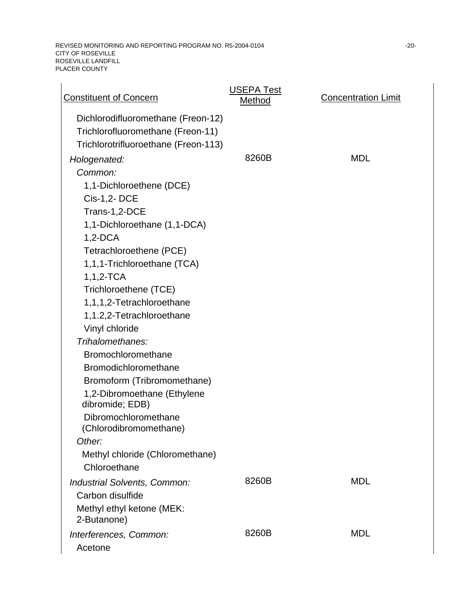REVISED MONITORING AND REPORTING PROGRAM NO. R5-2004-0104  $-20$ -20-CITY OF ROSEVILLE ROSEVILLE LANDFILL PLACER COUNTY

| <b>Constituent of Concern</b>                                                                                   | <b>USEPA Test</b><br>Method | <b>Concentration Limit</b> |
|-----------------------------------------------------------------------------------------------------------------|-----------------------------|----------------------------|
| Dichlorodifluoromethane (Freon-12)<br>Trichlorofluoromethane (Freon-11)<br>Trichlorotrifluoroethane (Freon-113) |                             |                            |
|                                                                                                                 | 8260B                       | <b>MDL</b>                 |
| Hologenated:<br>Common:                                                                                         |                             |                            |
| 1,1-Dichloroethene (DCE)                                                                                        |                             |                            |
| Cis-1,2-DCE                                                                                                     |                             |                            |
| Trans-1,2-DCE                                                                                                   |                             |                            |
| 1,1-Dichloroethane (1,1-DCA)                                                                                    |                             |                            |
| $1,2$ -DCA                                                                                                      |                             |                            |
| Tetrachloroethene (PCE)                                                                                         |                             |                            |
| 1,1,1-Trichloroethane (TCA)                                                                                     |                             |                            |
| $1,1,2-TCA$                                                                                                     |                             |                            |
| Trichloroethene (TCE)                                                                                           |                             |                            |
| 1,1,1,2-Tetrachloroethane                                                                                       |                             |                            |
| 1,1.2,2-Tetrachloroethane                                                                                       |                             |                            |
| Vinyl chloride                                                                                                  |                             |                            |
| Trihalomethanes:                                                                                                |                             |                            |
| Bromochloromethane                                                                                              |                             |                            |
| Bromodichloromethane                                                                                            |                             |                            |
| Bromoform (Tribromomethane)                                                                                     |                             |                            |
| 1,2-Dibromoethane (Ethylene<br>dibromide; EDB)                                                                  |                             |                            |
| Dibromochloromethane<br>(Chlorodibromomethane)                                                                  |                             |                            |
| Other:                                                                                                          |                             |                            |
| Methyl chloride (Chloromethane)                                                                                 |                             |                            |
| Chloroethane                                                                                                    |                             |                            |
| Industrial Solvents, Common:                                                                                    | 8260B                       | <b>MDL</b>                 |
| Carbon disulfide                                                                                                |                             |                            |
| Methyl ethyl ketone (MEK:                                                                                       |                             |                            |
| 2-Butanone)                                                                                                     |                             |                            |
| Interferences, Common:                                                                                          | 8260B                       | <b>MDL</b>                 |
| Acetone                                                                                                         |                             |                            |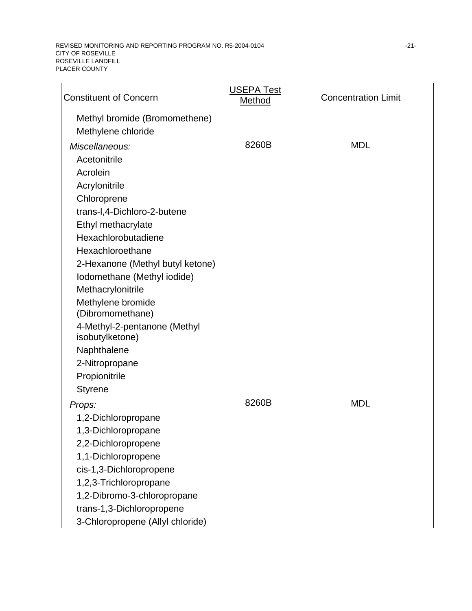REVISED MONITORING AND REPORTING PROGRAM NO. R5-2004-0104 **FOR A SET A CONSTANT OF A SET A**-21-CITY OF ROSEVILLE ROSEVILLE LANDFILL PLACER COUNTY

| <b>Constituent of Concern</b>                       | <b>USEPA Test</b><br>Method | <b>Concentration Limit</b> |
|-----------------------------------------------------|-----------------------------|----------------------------|
| Methyl bromide (Bromomethene)<br>Methylene chloride |                             |                            |
| Miscellaneous:                                      | 8260B                       | <b>MDL</b>                 |
| Acetonitrile                                        |                             |                            |
| Acrolein                                            |                             |                            |
| Acrylonitrile                                       |                             |                            |
| Chloroprene                                         |                             |                            |
| trans-I,4-Dichloro-2-butene                         |                             |                            |
| Ethyl methacrylate                                  |                             |                            |
| Hexachlorobutadiene                                 |                             |                            |
| Hexachloroethane                                    |                             |                            |
| 2-Hexanone (Methyl butyl ketone)                    |                             |                            |
| Iodomethane (Methyl iodide)                         |                             |                            |
| Methacrylonitrile                                   |                             |                            |
| Methylene bromide                                   |                             |                            |
| (Dibromomethane)                                    |                             |                            |
| 4-Methyl-2-pentanone (Methyl<br>isobutylketone)     |                             |                            |
| Naphthalene                                         |                             |                            |
| 2-Nitropropane                                      |                             |                            |
| Propionitrile                                       |                             |                            |
| <b>Styrene</b>                                      |                             |                            |
| Props:                                              | 8260B                       | <b>MDL</b>                 |
| 1,2-Dichloropropane                                 |                             |                            |
| 1,3-Dichloropropane                                 |                             |                            |
| 2,2-Dichloropropene                                 |                             |                            |
| 1,1-Dichloropropene                                 |                             |                            |
| cis-1,3-Dichloropropene                             |                             |                            |
| 1,2,3-Trichloropropane                              |                             |                            |
| 1,2-Dibromo-3-chloropropane                         |                             |                            |
| trans-1,3-Dichloropropene                           |                             |                            |
| 3-Chloropropene (Allyl chloride)                    |                             |                            |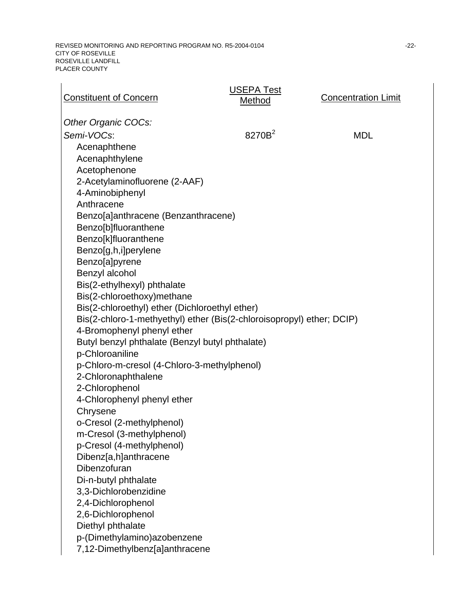| <b>Constituent of Concern</b>                                         | <b>USEPA Test</b><br>Method | <b>Concentration Limit</b> |
|-----------------------------------------------------------------------|-----------------------------|----------------------------|
| Other Organic COCs:                                                   |                             |                            |
| Semi-VOCs:                                                            | 8270B <sup>2</sup>          | <b>MDL</b>                 |
| Acenaphthene                                                          |                             |                            |
| Acenaphthylene                                                        |                             |                            |
| Acetophenone                                                          |                             |                            |
| 2-Acetylaminofluorene (2-AAF)                                         |                             |                            |
| 4-Aminobiphenyl                                                       |                             |                            |
| Anthracene                                                            |                             |                            |
| Benzo[a]anthracene (Benzanthracene)                                   |                             |                            |
| Benzo[b]fluoranthene                                                  |                             |                            |
| Benzo[k]fluoranthene                                                  |                             |                            |
| Benzo[g,h,i]perylene                                                  |                             |                            |
| Benzo[a]pyrene                                                        |                             |                            |
| Benzyl alcohol                                                        |                             |                            |
| Bis(2-ethylhexyl) phthalate                                           |                             |                            |
| Bis(2-chloroethoxy)methane                                            |                             |                            |
| Bis(2-chloroethyl) ether (Dichloroethyl ether)                        |                             |                            |
| Bis(2-chloro-1-methyethyl) ether (Bis(2-chloroisopropyl) ether; DCIP) |                             |                            |
| 4-Bromophenyl phenyl ether                                            |                             |                            |
| Butyl benzyl phthalate (Benzyl butyl phthalate)                       |                             |                            |
| p-Chloroaniline                                                       |                             |                            |
| p-Chloro-m-cresol (4-Chloro-3-methylphenol)                           |                             |                            |
| 2-Chloronaphthalene<br>2-Chlorophenol                                 |                             |                            |
| 4-Chlorophenyl phenyl ether                                           |                             |                            |
| Chrysene                                                              |                             |                            |
| o-Cresol (2-methylphenol)                                             |                             |                            |
| m-Cresol (3-methylphenol)                                             |                             |                            |
| p-Cresol (4-methylphenol)                                             |                             |                            |
| Dibenz[a,h]anthracene                                                 |                             |                            |
| Dibenzofuran                                                          |                             |                            |
| Di-n-butyl phthalate                                                  |                             |                            |
| 3,3-Dichlorobenzidine                                                 |                             |                            |
| 2,4-Dichlorophenol                                                    |                             |                            |
| 2,6-Dichlorophenol                                                    |                             |                            |
| Diethyl phthalate                                                     |                             |                            |
| p-(Dimethylamino)azobenzene                                           |                             |                            |
| 7,12-Dimethylbenz[a]anthracene                                        |                             |                            |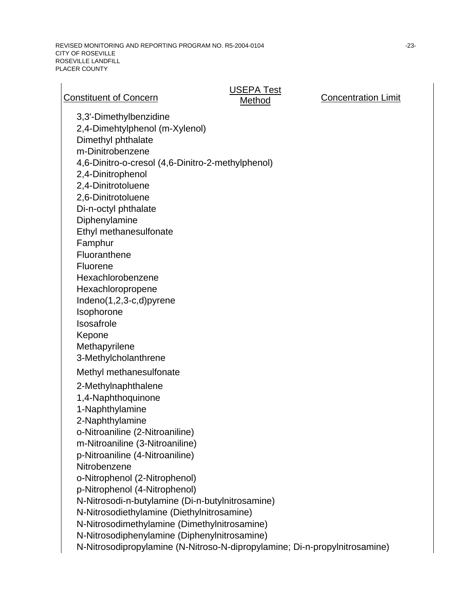REVISED MONITORING AND REPORTING PROGRAM NO. R5-2004-0104  $-23$ -23-CITY OF ROSEVILLE ROSEVILLE LANDFILL PLACER COUNTY

| <b>Constituent of Concern</b>                                                                                                                                              | <b>USEPA Test</b><br>Method | <b>Concentration Limit</b> |
|----------------------------------------------------------------------------------------------------------------------------------------------------------------------------|-----------------------------|----------------------------|
| 3,3'-Dimethylbenzidine<br>2,4-Dimehtylphenol (m-Xylenol)<br>Dimethyl phthalate<br>m-Dinitrobenzene                                                                         |                             |                            |
| 4,6-Dinitro-o-cresol (4,6-Dinitro-2-methylphenol)<br>2,4-Dinitrophenol                                                                                                     |                             |                            |
| 2,4-Dinitrotoluene<br>2,6-Dinitrotoluene<br>Di-n-octyl phthalate                                                                                                           |                             |                            |
| Diphenylamine<br>Ethyl methanesulfonate<br>Famphur                                                                                                                         |                             |                            |
| Fluoranthene<br>Fluorene                                                                                                                                                   |                             |                            |
| Hexachlorobenzene<br>Hexachloropropene<br>Indeno(1,2,3-c,d)pyrene                                                                                                          |                             |                            |
| Isophorone<br>Isosafrole<br>Kepone                                                                                                                                         |                             |                            |
| Methapyrilene<br>3-Methylcholanthrene                                                                                                                                      |                             |                            |
| Methyl methanesulfonate<br>2-Methylnaphthalene<br>1,4-Naphthoquinone<br>1-Naphthylamine                                                                                    |                             |                            |
| 2-Naphthylamine<br>o-Nitroaniline (2-Nitroaniline)<br>m-Nitroaniline (3-Nitroaniline)                                                                                      |                             |                            |
| p-Nitroaniline (4-Nitroaniline)<br>Nitrobenzene<br>o-Nitrophenol (2-Nitrophenol)                                                                                           |                             |                            |
| p-Nitrophenol (4-Nitrophenol)<br>N-Nitrosodi-n-butylamine (Di-n-butylnitrosamine)<br>N-Nitrosodiethylamine (Diethylnitrosamine)                                            |                             |                            |
| N-Nitrosodimethylamine (Dimethylnitrosamine)<br>N-Nitrosodiphenylamine (Diphenylnitrosamine)<br>N-Nitrosodipropylamine (N-Nitroso-N-dipropylamine; Di-n-propylnitrosamine) |                             |                            |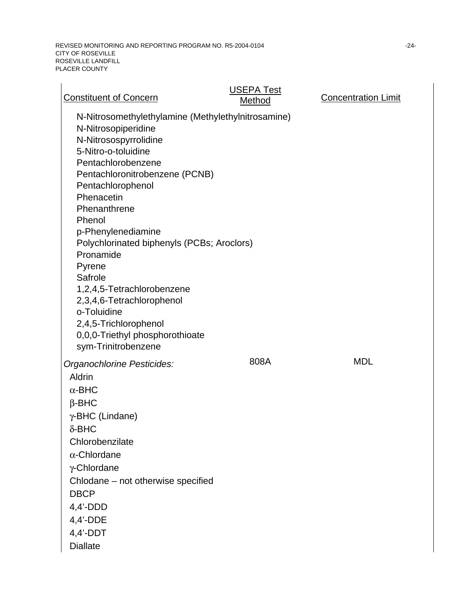REVISED MONITORING AND REPORTING PROGRAM NO. R5-2004-0104  $-24$ -24-CITY OF ROSEVILLE ROSEVILLE LANDFILL PLACER COUNTY

| <b>Constituent of Concern</b>                                                                                                                                                                                                                                                                                                                                                                                                                                                                                     | <b>USEPA Test</b><br>Method | <b>Concentration Limit</b> |
|-------------------------------------------------------------------------------------------------------------------------------------------------------------------------------------------------------------------------------------------------------------------------------------------------------------------------------------------------------------------------------------------------------------------------------------------------------------------------------------------------------------------|-----------------------------|----------------------------|
| N-Nitrosomethylethylamine (Methylethylnitrosamine)<br>N-Nitrosopiperidine<br>N-Nitrosospyrrolidine<br>5-Nitro-o-toluidine<br>Pentachlorobenzene<br>Pentachloronitrobenzene (PCNB)<br>Pentachlorophenol<br>Phenacetin<br>Phenanthrene<br>Phenol<br>p-Phenylenediamine<br>Polychlorinated biphenyls (PCBs; Aroclors)<br>Pronamide<br>Pyrene<br>Safrole<br>1,2,4,5-Tetrachlorobenzene<br>2,3,4,6-Tetrachlorophenol<br>o-Toluidine<br>2,4,5-Trichlorophenol<br>0,0,0-Triethyl phosphorothioate<br>sym-Trinitrobenzene |                             |                            |
| Organochlorine Pesticides:<br>Aldrin<br>$\alpha$ -BHC<br>$\beta$ -BHC<br>$\gamma$ -BHC (Lindane)<br>$\delta$ -BHC<br>Chlorobenzilate<br>$\alpha$ -Chlordane<br>$\gamma$ -Chlordane<br>Chlodane - not otherwise specified<br><b>DBCP</b><br>$4,4'$ -DDD<br>$4,4'$ -DDE<br>$4,4'$ -DDT<br><b>Diallate</b>                                                                                                                                                                                                           | 808A                        | <b>MDL</b>                 |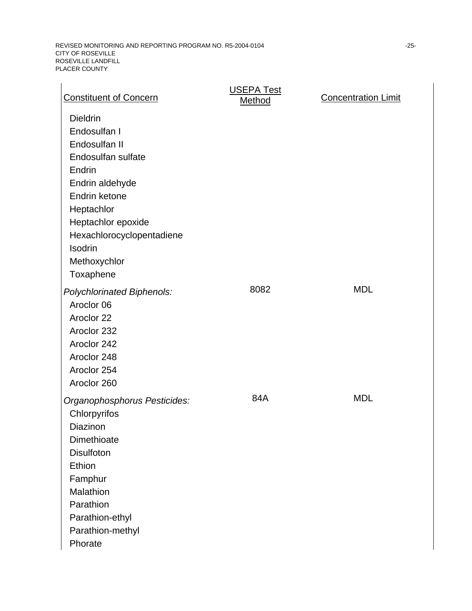| <b>Constituent of Concern</b>                                                                                                                                                                                                 | <b>USEPA Test</b><br>Method | <b>Concentration Limit</b> |
|-------------------------------------------------------------------------------------------------------------------------------------------------------------------------------------------------------------------------------|-----------------------------|----------------------------|
| <b>Dieldrin</b><br>Endosulfan I<br>Endosulfan II<br>Endosulfan sulfate<br>Endrin<br>Endrin aldehyde<br>Endrin ketone<br>Heptachlor<br>Heptachlor epoxide<br>Hexachlorocyclopentadiene<br>Isodrin<br>Methoxychlor<br>Toxaphene |                             |                            |
| Polychlorinated Biphenols:<br>Aroclor 06<br>Aroclor 22<br>Aroclor 232<br>Aroclor 242<br>Aroclor 248<br>Aroclor 254<br>Aroclor 260                                                                                             | 8082                        | <b>MDL</b>                 |
| Organophosphorus Pesticides:<br>Chlorpyrifos<br>Diazinon<br>Dimethioate<br><b>Disulfoton</b><br>Ethion<br>Famphur<br>Malathion<br>Parathion<br>Parathion-ethyl<br>Parathion-methyl<br>Phorate                                 | 84A                         | <b>MDL</b>                 |